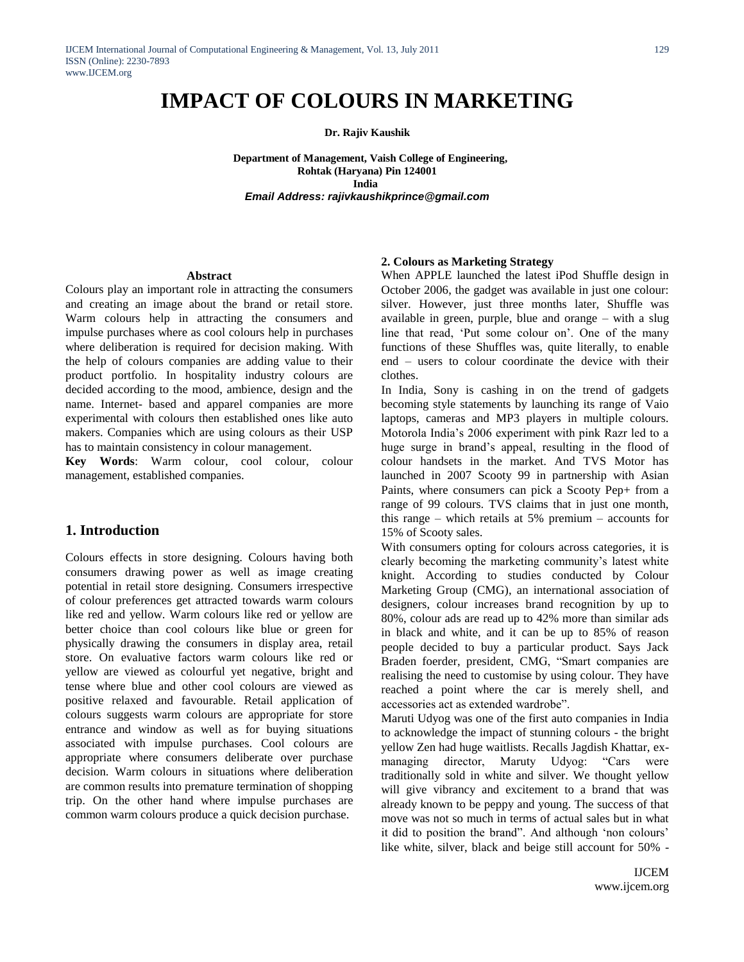# **IMPACT OF COLOURS IN MARKETING**

**Dr. Rajiv Kaushik**

 **Department of Management, Vaish College of Engineering, Rohtak (Haryana) Pin 124001** *<u> India</u>* **India** *Email Address: rajivkaushikprince@gmail.com*

#### **Abstract**

Colours play an important role in attracting the consumers and creating an image about the brand or retail store. Warm colours help in attracting the consumers and impulse purchases where as cool colours help in purchases where deliberation is required for decision making. With the help of colours companies are adding value to their product portfolio. In hospitality industry colours are decided according to the mood, ambience, design and the name. Internet- based and apparel companies are more experimental with colours then established ones like auto makers. Companies which are using colours as their USP has to maintain consistency in colour management.

**Key Words**: Warm colour, cool colour, colour management, established companies.

## **1. Introduction**

Colours effects in store designing. Colours having both consumers drawing power as well as image creating potential in retail store designing. Consumers irrespective of colour preferences get attracted towards warm colours like red and yellow. Warm colours like red or yellow are better choice than cool colours like blue or green for physically drawing the consumers in display area, retail store. On evaluative factors warm colours like red or yellow are viewed as colourful yet negative, bright and tense where blue and other cool colours are viewed as positive relaxed and favourable. Retail application of colours suggests warm colours are appropriate for store entrance and window as well as for buying situations associated with impulse purchases. Cool colours are appropriate where consumers deliberate over purchase decision. Warm colours in situations where deliberation are common results into premature termination of shopping trip. On the other hand where impulse purchases are common warm colours produce a quick decision purchase.

#### **2. Colours as Marketing Strategy**

When APPLE launched the latest iPod Shuffle design in October 2006, the gadget was available in just one colour: silver. However, just three months later, Shuffle was available in green, purple, blue and orange – with a slug line that read, 'Put some colour on'. One of the many functions of these Shuffles was, quite literally, to enable end – users to colour coordinate the device with their clothes.

In India, Sony is cashing in on the trend of gadgets becoming style statements by launching its range of Vaio laptops, cameras and MP3 players in multiple colours. Motorola India"s 2006 experiment with pink Razr led to a huge surge in brand"s appeal, resulting in the flood of colour handsets in the market. And TVS Motor has launched in 2007 Scooty 99 in partnership with Asian Paints, where consumers can pick a Scooty Pep+ from a range of 99 colours. TVS claims that in just one month, this range – which retails at 5% premium – accounts for 15% of Scooty sales.

With consumers opting for colours across categories, it is clearly becoming the marketing community"s latest white knight. According to studies conducted by Colour Marketing Group (CMG), an international association of designers, colour increases brand recognition by up to 80%, colour ads are read up to 42% more than similar ads in black and white, and it can be up to 85% of reason people decided to buy a particular product. Says Jack Braden foerder, president, CMG, "Smart companies are realising the need to customise by using colour. They have reached a point where the car is merely shell, and accessories act as extended wardrobe".

Maruti Udyog was one of the first auto companies in India to acknowledge the impact of stunning colours - the bright yellow Zen had huge waitlists. Recalls Jagdish Khattar, exmanaging director, Maruty Udyog: "Cars were traditionally sold in white and silver. We thought yellow will give vibrancy and excitement to a brand that was already known to be peppy and young. The success of that move was not so much in terms of actual sales but in what it did to position the brand". And although "non colours" like white, silver, black and beige still account for 50% -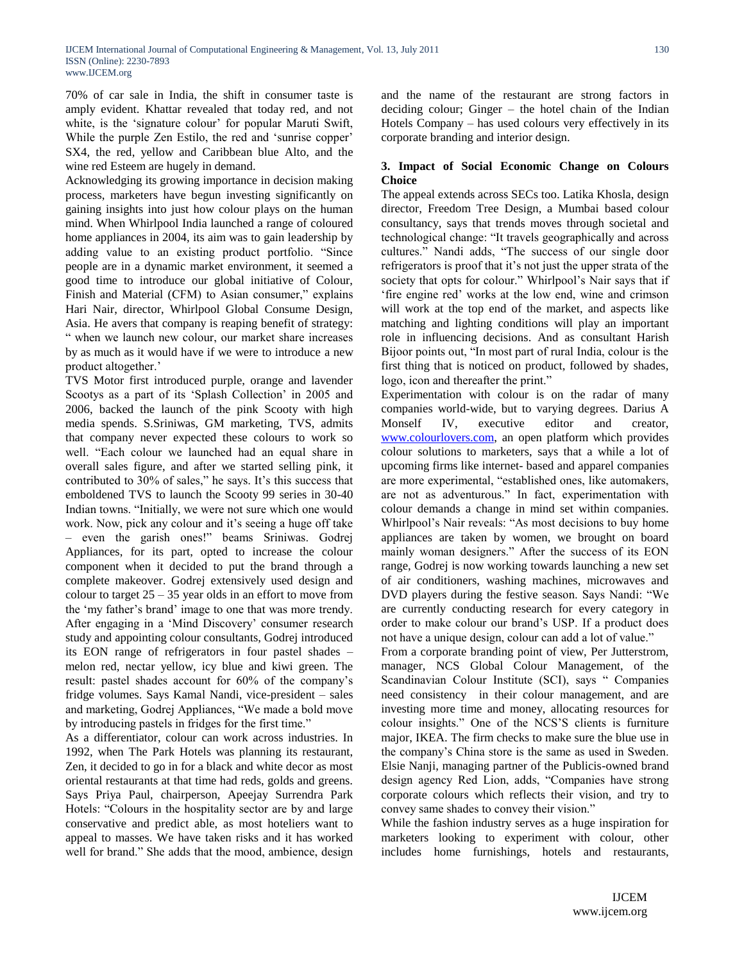70% of car sale in India, the shift in consumer taste is amply evident. Khattar revealed that today red, and not white, is the 'signature colour' for popular Maruti Swift, While the purple Zen Estilo, the red and 'sunrise copper' SX4, the red, yellow and Caribbean blue Alto, and the wine red Esteem are hugely in demand.

Acknowledging its growing importance in decision making process, marketers have begun investing significantly on gaining insights into just how colour plays on the human mind. When Whirlpool India launched a range of coloured home appliances in 2004, its aim was to gain leadership by adding value to an existing product portfolio. "Since people are in a dynamic market environment, it seemed a good time to introduce our global initiative of Colour, Finish and Material (CFM) to Asian consumer," explains Hari Nair, director, Whirlpool Global Consume Design, Asia. He avers that company is reaping benefit of strategy: " when we launch new colour, our market share increases by as much as it would have if we were to introduce a new product altogether.'

TVS Motor first introduced purple, orange and lavender Scootys as a part of its 'Splash Collection' in 2005 and 2006, backed the launch of the pink Scooty with high media spends. S.Sriniwas, GM marketing, TVS, admits that company never expected these colours to work so well. "Each colour we launched had an equal share in overall sales figure, and after we started selling pink, it contributed to 30% of sales," he says. It's this success that emboldened TVS to launch the Scooty 99 series in 30-40 Indian towns. "Initially, we were not sure which one would work. Now, pick any colour and it's seeing a huge off take – even the garish ones!" beams Sriniwas. Godrej Appliances, for its part, opted to increase the colour component when it decided to put the brand through a complete makeover. Godrej extensively used design and colour to target  $25 - 35$  year olds in an effort to move from the "my father"s brand" image to one that was more trendy. After engaging in a 'Mind Discovery' consumer research study and appointing colour consultants, Godrej introduced its EON range of refrigerators in four pastel shades – melon red, nectar yellow, icy blue and kiwi green. The result: pastel shades account for 60% of the company"s fridge volumes. Says Kamal Nandi, vice-president – sales and marketing, Godrej Appliances, "We made a bold move by introducing pastels in fridges for the first time."

As a differentiator, colour can work across industries. In 1992, when The Park Hotels was planning its restaurant, Zen, it decided to go in for a black and white decor as most oriental restaurants at that time had reds, golds and greens. Says Priya Paul, chairperson, Apeejay Surrendra Park Hotels: "Colours in the hospitality sector are by and large conservative and predict able, as most hoteliers want to appeal to masses. We have taken risks and it has worked well for brand." She adds that the mood, ambience, design

and the name of the restaurant are strong factors in deciding colour; Ginger – the hotel chain of the Indian Hotels Company – has used colours very effectively in its corporate branding and interior design.

## **3. Impact of Social Economic Change on Colours Choice**

The appeal extends across SECs too. Latika Khosla, design director, Freedom Tree Design, a Mumbai based colour consultancy, says that trends moves through societal and technological change: "It travels geographically and across cultures." Nandi adds, "The success of our single door refrigerators is proof that it's not just the upper strata of the society that opts for colour." Whirlpool's Nair says that if 'fire engine red' works at the low end, wine and crimson will work at the top end of the market, and aspects like matching and lighting conditions will play an important role in influencing decisions. And as consultant Harish Bijoor points out, "In most part of rural India, colour is the first thing that is noticed on product, followed by shades, logo, icon and thereafter the print."

Experimentation with colour is on the radar of many companies world-wide, but to varying degrees. Darius A Monself IV, executive editor and creator, [www.colourlovers.com,](http://www.colourlovers.com/) an open platform which provides colour solutions to marketers, says that a while a lot of upcoming firms like internet- based and apparel companies are more experimental, "established ones, like automakers, are not as adventurous." In fact, experimentation with colour demands a change in mind set within companies. Whirlpool"s Nair reveals: "As most decisions to buy home appliances are taken by women, we brought on board mainly woman designers." After the success of its EON range, Godrej is now working towards launching a new set of air conditioners, washing machines, microwaves and DVD players during the festive season. Says Nandi: "We are currently conducting research for every category in order to make colour our brand"s USP. If a product does not have a unique design, colour can add a lot of value."

From a corporate branding point of view, Per Jutterstrom, manager, NCS Global Colour Management, of the Scandinavian Colour Institute (SCI), says " Companies need consistency in their colour management, and are investing more time and money, allocating resources for colour insights." One of the NCS"S clients is furniture major, IKEA. The firm checks to make sure the blue use in the company"s China store is the same as used in Sweden. Elsie Nanji, managing partner of the Publicis-owned brand design agency Red Lion, adds, "Companies have strong corporate colours which reflects their vision, and try to convey same shades to convey their vision."

While the fashion industry serves as a huge inspiration for marketers looking to experiment with colour, other includes home furnishings, hotels and restaurants,